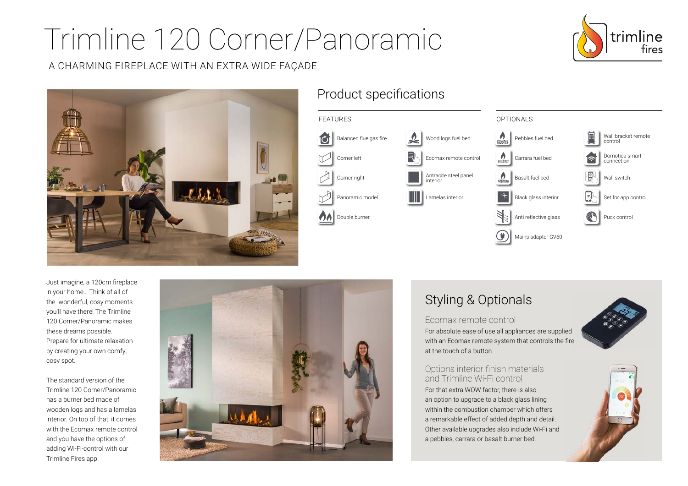# Trimline 120 Corner/Panoramic

### A CHARMING FIREPLACE WITH AN EXTRA WIDE FAÇADE





## Product specifications



Just imagine, a 120cm fireplace in your home… Think of all of the wonderful, cosy moments you'll have there! The Trimline 120 Corner/Panoramic makes these dreams possible. Prepare for ultimate relaxation by creating your own comfy, cosy spot.

The standard version of the Trimline 120 Corner/Panoramic has a burner bed made of wooden logs and has a lamelas interior. On top of that, it comes with the Ecomax remote control and you have the options of adding Wi-Fi-control with our Trimline Fires app.



# Styling & Optionals

#### Ecomax remote control

For absolute ease of use all appliances are supplied with an Ecomax remote system that controls the fire at the touch of a button.

#### Options interior finish materials and Trimline Wi-Fi control

For that extra WOW factor, there is also an option to upgrade to a black glass lining within the combustion chamber which offers a remarkable effect of added depth and detail. Other available upgrades also include Wi-Fi and a pebbles, carrara or basalt burner bed.